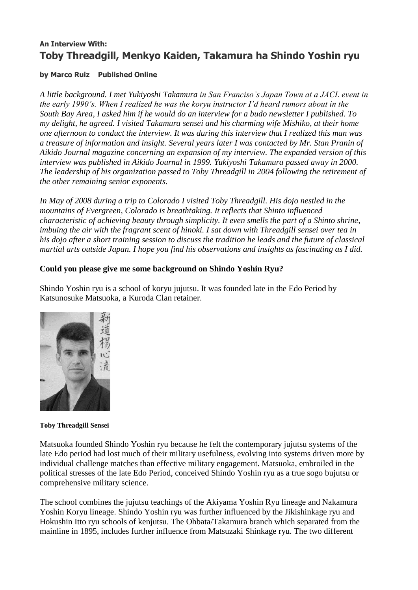# **An Interview With: Toby Threadgill, Menkyo Kaiden, Takamura ha Shindo Yoshin ryu**

#### **by [Marco Ruiz](http://www.aikidojournal.com/articleindex?authorID=120) [Published Online](http://www.aikidojournal.com/articleindex?issueID=web)**

*A little background. I met Yukiyoshi Takamura in San Franciso's Japan Town at a JACL event in the early 1990's. When I realized he was the koryu instructor I'd heard rumors about in the South Bay Area, I asked him if he would do an interview for a budo newsletter I published. To my delight, he agreed. I visited Takamura sensei and his charming wife Mishiko, at their home one afternoon to conduct the interview. It was during this interview that I realized this man was a treasure of information and insight. Several years later I was contacted by Mr. Stan Pranin of Aikido Journal magazine concerning an expansion of my interview. The expanded version of this interview was published in Aikido Journal in 1999. Yukiyoshi Takamura passed away in 2000. The leadership of his organization passed to Toby Threadgill in 2004 following the retirement of the other remaining senior exponents.*

*In May of 2008 during a trip to Colorado I visited Toby Threadgill. His dojo nestled in the mountains of Evergreen, Colorado is breathtaking. It reflects that Shinto influenced characteristic of achieving beauty through simplicity. It even smells the part of a Shinto shrine, imbuing the air with the fragrant scent of hinoki. I sat down with Threadgill sensei over tea in his dojo after a short training session to discuss the tradition he leads and the future of classical martial arts outside Japan. I hope you find his observations and insights as fascinating as I did.*

#### **Could you please give me some background on Shindo Yoshin Ryu?**

Shindo Yoshin ryu is a school of koryu jujutsu. It was founded late in the Edo Period by Katsunosuke Matsuoka, a Kuroda Clan retainer.



**Toby Threadgill Sensei**

Matsuoka founded Shindo Yoshin ryu because he felt the contemporary jujutsu systems of the late Edo period had lost much of their military usefulness, evolving into systems driven more by individual challenge matches than effective military engagement. Matsuoka, embroiled in the political stresses of the late Edo Period, conceived Shindo Yoshin ryu as a true sogo bujutsu or comprehensive military science.

The school combines the jujutsu teachings of the Akiyama Yoshin Ryu lineage and Nakamura Yoshin Koryu lineage. Shindo Yoshin ryu was further influenced by the Jikishinkage ryu and Hokushin Itto ryu schools of kenjutsu. The Ohbata/Takamura branch which separated from the mainline in 1895, includes further influence from Matsuzaki Shinkage ryu. The two different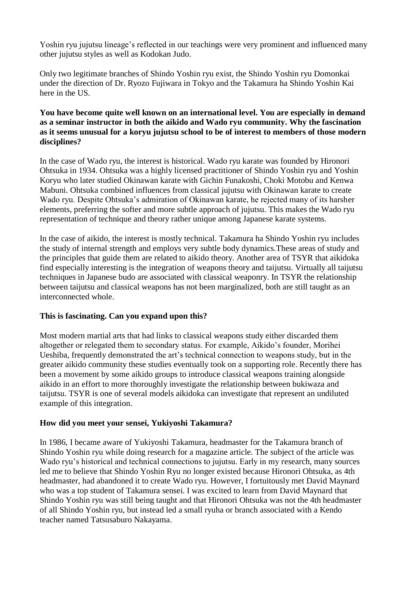Yoshin ryu jujutsu lineage's reflected in our teachings were very prominent and influenced many other jujutsu styles as well as Kodokan Judo.

Only two legitimate branches of Shindo Yoshin ryu exist, the Shindo Yoshin ryu Domonkai under the direction of Dr. Ryozo Fujiwara in Tokyo and the Takamura ha Shindo Yoshin Kai here in the US.

#### **You have become quite well known on an international level. You are especially in demand as a seminar instructor in both the aikido and Wado ryu community. Why the fascination as it seems unusual for a koryu jujutsu school to be of interest to members of those modern disciplines?**

In the case of Wado ryu, the interest is historical. Wado ryu karate was founded by Hironori Ohtsuka in 1934. Ohtsuka was a highly licensed practitioner of Shindo Yoshin ryu and Yoshin Koryu who later studied Okinawan karate with Gichin Funakoshi, Choki Motobu and Kenwa Mabuni. Ohtsuka combined influences from classical jujutsu with Okinawan karate to create Wado ryu. Despite Ohtsuka's admiration of Okinawan karate, he rejected many of its harsher elements, preferring the softer and more subtle approach of jujutsu. This makes the Wado ryu representation of technique and theory rather unique among Japanese karate systems.

In the case of aikido, the interest is mostly technical. Takamura ha Shindo Yoshin ryu includes the study of internal strength and employs very subtle body dynamics.These areas of study and the principles that guide them are related to aikido theory. Another area of TSYR that aikidoka find especially interesting is the integration of weapons theory and taijutsu. Virtually all taijutsu techniques in Japanese budo are associated with classical weaponry. In TSYR the relationship between taijutsu and classical weapons has not been marginalized, both are still taught as an interconnected whole.

### **This is fascinating. Can you expand upon this?**

Most modern martial arts that had links to classical weapons study either discarded them altogether or relegated them to secondary status. For example, Aikido's founder, Morihei Ueshiba, frequently demonstrated the art's technical connection to weapons study, but in the greater aikido community these studies eventually took on a supporting role. Recently there has been a movement by some aikido groups to introduce classical weapons training alongside aikido in an effort to more thoroughly investigate the relationship between bukiwaza and taijutsu. TSYR is one of several models aikidoka can investigate that represent an undiluted example of this integration.

#### **How did you meet your sensei, Yukiyoshi Takamura?**

In 1986, I became aware of Yukiyoshi Takamura, headmaster for the Takamura branch of Shindo Yoshin ryu while doing research for a magazine article. The subject of the article was Wado ryu's historical and technical connections to jujutsu. Early in my research, many sources led me to believe that Shindo Yoshin Ryu no longer existed because Hironori Ohtsuka, as 4th headmaster, had abandoned it to create Wado ryu. However, I fortuitously met David Maynard who was a top student of Takamura sensei. I was excited to learn from David Maynard that Shindo Yoshin ryu was still being taught and that Hironori Ohtsuka was not the 4th headmaster of all Shindo Yoshin ryu, but instead led a small ryuha or branch associated with a Kendo teacher named Tatsusaburo Nakayama.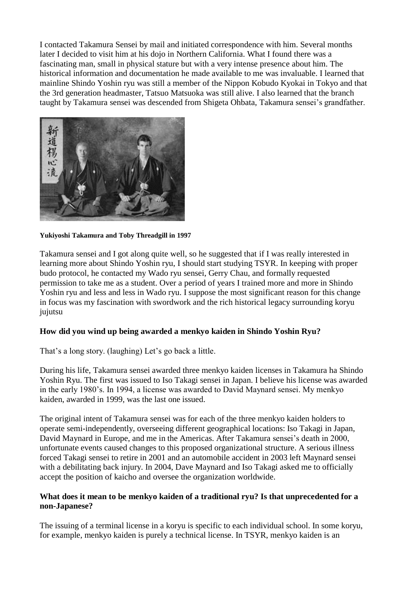I contacted Takamura Sensei by mail and initiated correspondence with him. Several months later I decided to visit him at his dojo in Northern California. What I found there was a fascinating man, small in physical stature but with a very intense presence about him. The historical information and documentation he made available to me was invaluable. I learned that mainline Shindo Yoshin ryu was still a member of the Nippon Kobudo Kyokai in Tokyo and that the 3rd generation headmaster, Tatsuo Matsuoka was still alive. I also learned that the branch taught by Takamura sensei was descended from Shigeta Ohbata, Takamura sensei's grandfather.



**Yukiyoshi Takamura and Toby Threadgill in 1997**

Takamura sensei and I got along quite well, so he suggested that if I was really interested in learning more about Shindo Yoshin ryu, I should start studying TSYR. In keeping with proper budo protocol, he contacted my Wado ryu sensei, Gerry Chau, and formally requested permission to take me as a student. Over a period of years I trained more and more in Shindo Yoshin ryu and less and less in Wado ryu. I suppose the most significant reason for this change in focus was my fascination with swordwork and the rich historical legacy surrounding koryu jujutsu

# **How did you wind up being awarded a menkyo kaiden in Shindo Yoshin Ryu?**

That's a long story. (laughing) Let's go back a little.

During his life, Takamura sensei awarded three menkyo kaiden licenses in Takamura ha Shindo Yoshin Ryu. The first was issued to Iso Takagi sensei in Japan. I believe his license was awarded in the early 1980's. In 1994, a license was awarded to David Maynard sensei. My menkyo kaiden, awarded in 1999, was the last one issued.

The original intent of Takamura sensei was for each of the three menkyo kaiden holders to operate semi-independently, overseeing different geographical locations: Iso Takagi in Japan, David Maynard in Europe, and me in the Americas. After Takamura sensei's death in 2000, unfortunate events caused changes to this proposed organizational structure. A serious illness forced Takagi sensei to retire in 2001 and an automobile accident in 2003 left Maynard sensei with a debilitating back injury. In 2004, Dave Maynard and Iso Takagi asked me to officially accept the position of kaicho and oversee the organization worldwide.

### **What does it mean to be menkyo kaiden of a traditional ryu? Is that unprecedented for a non-Japanese?**

The issuing of a terminal license in a koryu is specific to each individual school. In some koryu, for example, menkyo kaiden is purely a technical license. In TSYR, menkyo kaiden is an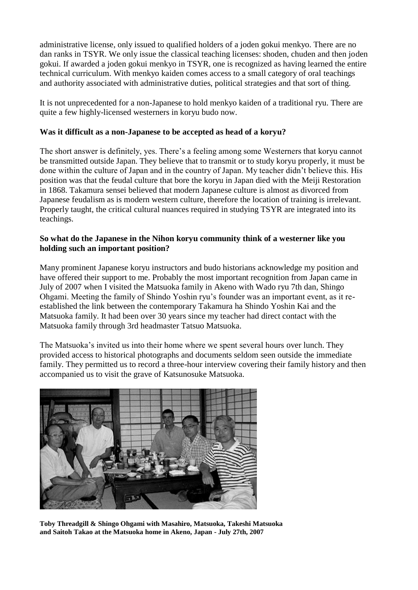administrative license, only issued to qualified holders of a joden gokui menkyo. There are no dan ranks in TSYR. We only issue the classical teaching licenses: shoden, chuden and then joden gokui. If awarded a joden gokui menkyo in TSYR, one is recognized as having learned the entire technical curriculum. With menkyo kaiden comes access to a small category of oral teachings and authority associated with administrative duties, political strategies and that sort of thing.

It is not unprecedented for a non-Japanese to hold menkyo kaiden of a traditional ryu. There are quite a few highly-licensed westerners in koryu budo now.

#### **Was it difficult as a non-Japanese to be accepted as head of a koryu?**

The short answer is definitely, yes. There's a feeling among some Westerners that koryu cannot be transmitted outside Japan. They believe that to transmit or to study koryu properly, it must be done within the culture of Japan and in the country of Japan. My teacher didn't believe this. His position was that the feudal culture that bore the koryu in Japan died with the Meiji Restoration in 1868. Takamura sensei believed that modern Japanese culture is almost as divorced from Japanese feudalism as is modern western culture, therefore the location of training is irrelevant. Properly taught, the critical cultural nuances required in studying TSYR are integrated into its teachings.

#### **So what do the Japanese in the Nihon koryu community think of a westerner like you holding such an important position?**

Many prominent Japanese koryu instructors and budo historians acknowledge my position and have offered their support to me. Probably the most important recognition from Japan came in July of 2007 when I visited the Matsuoka family in Akeno with Wado ryu 7th dan, Shingo Ohgami. Meeting the family of Shindo Yoshin ryu's founder was an important event, as it reestablished the link between the contemporary Takamura ha Shindo Yoshin Kai and the Matsuoka family. It had been over 30 years since my teacher had direct contact with the Matsuoka family through 3rd headmaster Tatsuo Matsuoka.

The Matsuoka's invited us into their home where we spent several hours over lunch. They provided access to historical photographs and documents seldom seen outside the immediate family. They permitted us to record a three-hour interview covering their family history and then accompanied us to visit the grave of Katsunosuke Matsuoka.



**Toby Threadgill & Shingo Ohgami with Masahiro, Matsuoka, Takeshi Matsuoka and Saitoh Takao at the Matsuoka home in Akeno, Japan - July 27th, 2007**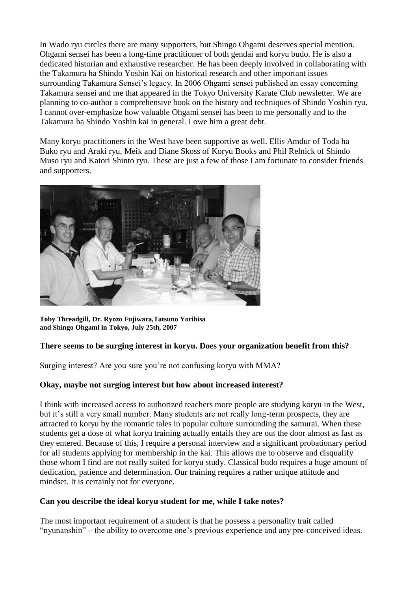In Wado ryu circles there are many supporters, but Shingo Ohgami deserves special mention. Ohgami sensei has been a long-time practitioner of both gendai and koryu budo. He is also a dedicated historian and exhaustive researcher. He has been deeply involved in collaborating with the Takamura ha Shindo Yoshin Kai on historical research and other important issues surrounding Takamura Sensei's legacy. In 2006 Ohgami sensei published an essay concerning Takamura sensei and me that appeared in the Tokyo University Karate Club newsletter. We are planning to co-author a comprehensive book on the history and techniques of Shindo Yoshin ryu. I cannot over-emphasize how valuable Ohgami sensei has been to me personally and to the Takamura ha Shindo Yoshin kai in general. I owe him a great debt.

Many koryu practitioners in the West have been supportive as well. Ellis Amdur of Toda ha Buko ryu and Araki ryu, Meik and Diane Skoss of Koryu Books and Phil Relnick of Shindo Muso ryu and Katori Shinto ryu. These are just a few of those I am fortunate to consider friends and supporters.



**Toby Threadgill, Dr. Ryozo Fujiwara,Tatsuno Yorihisa and Shingo Ohgami in Tokyo, July 25th, 2007**

### **There seems to be surging interest in koryu. Does your organization benefit from this?**

Surging interest? Are you sure you're not confusing koryu with MMA?

#### **Okay, maybe not surging interest but how about increased interest?**

I think with increased access to authorized teachers more people are studying koryu in the West, but it's still a very small number. Many students are not really long-term prospects, they are attracted to koryu by the romantic tales in popular culture surrounding the samurai. When these students get a dose of what koryu training actually entails they are out the door almost as fast as they entered. Because of this, I require a personal interview and a significant probationary period for all students applying for membership in the kai. This allows me to observe and disqualify those whom I find are not really suited for koryu study. Classical budo requires a huge amount of dedication, patience and determination. Our training requires a rather unique attitude and mindset. It is certainly not for everyone.

#### **Can you describe the ideal koryu student for me, while I take notes?**

The most important requirement of a student is that he possess a personality trait called "nyunanshin" – the ability to overcome one's previous experience and any pre-conceived ideas.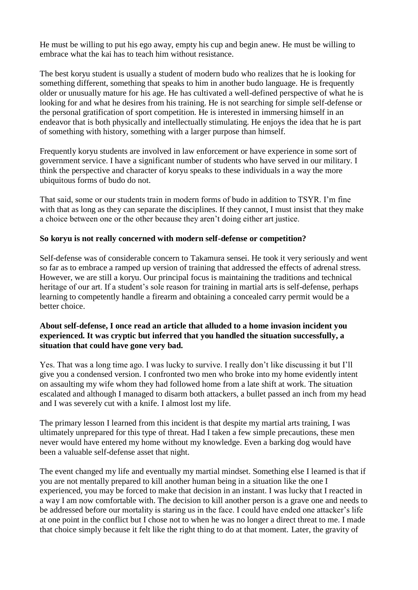He must be willing to put his ego away, empty his cup and begin anew. He must be willing to embrace what the kai has to teach him without resistance.

The best koryu student is usually a student of modern budo who realizes that he is looking for something different, something that speaks to him in another budo language. He is frequently older or unusually mature for his age. He has cultivated a well-defined perspective of what he is looking for and what he desires from his training. He is not searching for simple self-defense or the personal gratification of sport competition. He is interested in immersing himself in an endeavor that is both physically and intellectually stimulating. He enjoys the idea that he is part of something with history, something with a larger purpose than himself.

Frequently koryu students are involved in law enforcement or have experience in some sort of government service. I have a significant number of students who have served in our military. I think the perspective and character of koryu speaks to these individuals in a way the more ubiquitous forms of budo do not.

That said, some or our students train in modern forms of budo in addition to TSYR. I'm fine with that as long as they can separate the disciplines. If they cannot, I must insist that they make a choice between one or the other because they aren't doing either art justice.

#### **So koryu is not really concerned with modern self-defense or competition?**

Self-defense was of considerable concern to Takamura sensei. He took it very seriously and went so far as to embrace a ramped up version of training that addressed the effects of adrenal stress. However, we are still a koryu. Our principal focus is maintaining the traditions and technical heritage of our art. If a student's sole reason for training in martial arts is self-defense, perhaps learning to competently handle a firearm and obtaining a concealed carry permit would be a better choice.

#### **About self-defense, I once read an article that alluded to a home invasion incident you experienced. It was cryptic but inferred that you handled the situation successfully, a situation that could have gone very bad.**

Yes. That was a long time ago. I was lucky to survive. I really don't like discussing it but I'll give you a condensed version. I confronted two men who broke into my home evidently intent on assaulting my wife whom they had followed home from a late shift at work. The situation escalated and although I managed to disarm both attackers, a bullet passed an inch from my head and I was severely cut with a knife. I almost lost my life.

The primary lesson I learned from this incident is that despite my martial arts training, I was ultimately unprepared for this type of threat. Had I taken a few simple precautions, these men never would have entered my home without my knowledge. Even a barking dog would have been a valuable self-defense asset that night.

The event changed my life and eventually my martial mindset. Something else I learned is that if you are not mentally prepared to kill another human being in a situation like the one I experienced, you may be forced to make that decision in an instant. I was lucky that I reacted in a way I am now comfortable with. The decision to kill another person is a grave one and needs to be addressed before our mortality is staring us in the face. I could have ended one attacker's life at one point in the conflict but I chose not to when he was no longer a direct threat to me. I made that choice simply because it felt like the right thing to do at that moment. Later, the gravity of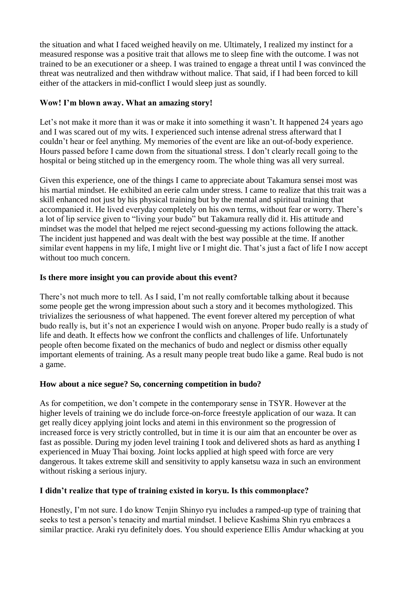the situation and what I faced weighed heavily on me. Ultimately, I realized my instinct for a measured response was a positive trait that allows me to sleep fine with the outcome. I was not trained to be an executioner or a sheep. I was trained to engage a threat until I was convinced the threat was neutralized and then withdraw without malice. That said, if I had been forced to kill either of the attackers in mid-conflict I would sleep just as soundly.

### **Wow! I'm blown away. What an amazing story!**

Let's not make it more than it was or make it into something it wasn't. It happened 24 years ago and I was scared out of my wits. I experienced such intense adrenal stress afterward that I couldn't hear or feel anything. My memories of the event are like an out-of-body experience. Hours passed before I came down from the situational stress. I don't clearly recall going to the hospital or being stitched up in the emergency room. The whole thing was all very surreal.

Given this experience, one of the things I came to appreciate about Takamura sensei most was his martial mindset. He exhibited an eerie calm under stress. I came to realize that this trait was a skill enhanced not just by his physical training but by the mental and spiritual training that accompanied it. He lived everyday completely on his own terms, without fear or worry. There's a lot of lip service given to "living your budo" but Takamura really did it. His attitude and mindset was the model that helped me reject second-guessing my actions following the attack. The incident just happened and was dealt with the best way possible at the time. If another similar event happens in my life, I might live or I might die. That's just a fact of life I now accept without too much concern.

### **Is there more insight you can provide about this event?**

There's not much more to tell. As I said, I'm not really comfortable talking about it because some people get the wrong impression about such a story and it becomes mythologized. This trivializes the seriousness of what happened. The event forever altered my perception of what budo really is, but it's not an experience I would wish on anyone. Proper budo really is a study of life and death. It effects how we confront the conflicts and challenges of life. Unfortunately people often become fixated on the mechanics of budo and neglect or dismiss other equally important elements of training. As a result many people treat budo like a game. Real budo is not a game.

### **How about a nice segue? So, concerning competition in budo?**

As for competition, we don't compete in the contemporary sense in TSYR. However at the higher levels of training we do include force-on-force freestyle application of our waza. It can get really dicey applying joint locks and atemi in this environment so the progression of increased force is very strictly controlled, but in time it is our aim that an encounter be over as fast as possible. During my joden level training I took and delivered shots as hard as anything I experienced in Muay Thai boxing. Joint locks applied at high speed with force are very dangerous. It takes extreme skill and sensitivity to apply kansetsu waza in such an environment without risking a serious injury.

# **I didn't realize that type of training existed in koryu. Is this commonplace?**

Honestly, I'm not sure. I do know Tenjin Shinyo ryu includes a ramped-up type of training that seeks to test a person's tenacity and martial mindset. I believe Kashima Shin ryu embraces a similar practice. Araki ryu definitely does. You should experience Ellis Amdur whacking at you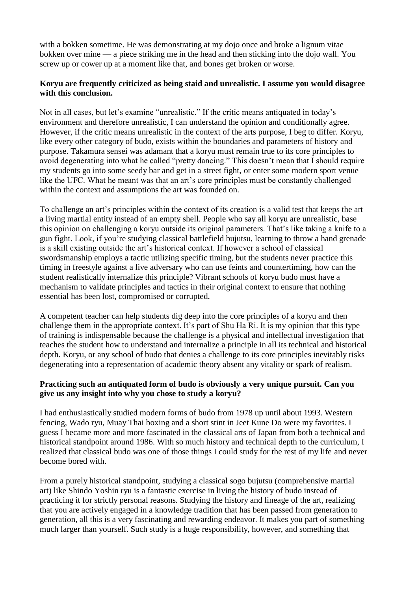with a bokken sometime. He was demonstrating at my dojo once and broke a lignum vitae bokken over mine — a piece striking me in the head and then sticking into the dojo wall. You screw up or cower up at a moment like that, and bones get broken or worse.

### **Koryu are frequently criticized as being staid and unrealistic. I assume you would disagree with this conclusion.**

Not in all cases, but let's examine "unrealistic." If the critic means antiquated in today's environment and therefore unrealistic, I can understand the opinion and conditionally agree. However, if the critic means unrealistic in the context of the arts purpose, I beg to differ. Koryu, like every other category of budo, exists within the boundaries and parameters of history and purpose. Takamura sensei was adamant that a koryu must remain true to its core principles to avoid degenerating into what he called "pretty dancing." This doesn't mean that I should require my students go into some seedy bar and get in a street fight, or enter some modern sport venue like the UFC. What he meant was that an art's core principles must be constantly challenged within the context and assumptions the art was founded on.

To challenge an art's principles within the context of its creation is a valid test that keeps the art a living martial entity instead of an empty shell. People who say all koryu are unrealistic, base this opinion on challenging a koryu outside its original parameters. That's like taking a knife to a gun fight. Look, if you're studying classical battlefield bujutsu, learning to throw a hand grenade is a skill existing outside the art's historical context. If however a school of classical swordsmanship employs a tactic utilizing specific timing, but the students never practice this timing in freestyle against a live adversary who can use feints and countertiming, how can the student realistically internalize this principle? Vibrant schools of koryu budo must have a mechanism to validate principles and tactics in their original context to ensure that nothing essential has been lost, compromised or corrupted.

A competent teacher can help students dig deep into the core principles of a koryu and then challenge them in the appropriate context. It's part of Shu Ha Ri. It is my opinion that this type of training is indispensable because the challenge is a physical and intellectual investigation that teaches the student how to understand and internalize a principle in all its technical and historical depth. Koryu, or any school of budo that denies a challenge to its core principles inevitably risks degenerating into a representation of academic theory absent any vitality or spark of realism.

#### **Practicing such an antiquated form of budo is obviously a very unique pursuit. Can you give us any insight into why you chose to study a koryu?**

I had enthusiastically studied modern forms of budo from 1978 up until about 1993. Western fencing, Wado ryu, Muay Thai boxing and a short stint in Jeet Kune Do were my favorites. I guess I became more and more fascinated in the classical arts of Japan from both a technical and historical standpoint around 1986. With so much history and technical depth to the curriculum, I realized that classical budo was one of those things I could study for the rest of my life and never become bored with.

From a purely historical standpoint, studying a classical sogo bujutsu (comprehensive martial art) like Shindo Yoshin ryu is a fantastic exercise in living the history of budo instead of practicing it for strictly personal reasons. Studying the history and lineage of the art, realizing that you are actively engaged in a knowledge tradition that has been passed from generation to generation, all this is a very fascinating and rewarding endeavor. It makes you part of something much larger than yourself. Such study is a huge responsibility, however, and something that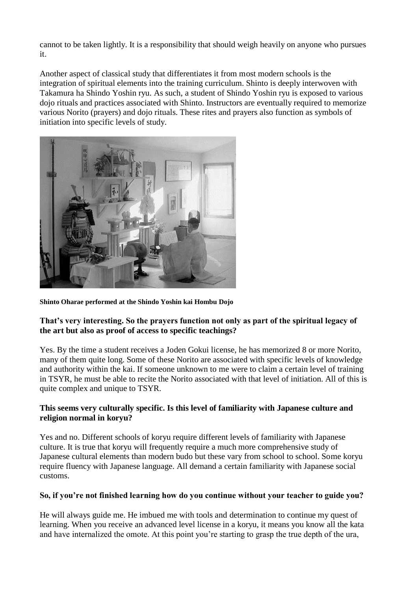cannot to be taken lightly. It is a responsibility that should weigh heavily on anyone who pursues it.

Another aspect of classical study that differentiates it from most modern schools is the integration of spiritual elements into the training curriculum. Shinto is deeply interwoven with Takamura ha Shindo Yoshin ryu. As such, a student of Shindo Yoshin ryu is exposed to various dojo rituals and practices associated with Shinto. Instructors are eventually required to memorize various Norito (prayers) and dojo rituals. These rites and prayers also function as symbols of initiation into specific levels of study.



**Shinto Oharae performed at the Shindo Yoshin kai Hombu Dojo**

### **That's very interesting. So the prayers function not only as part of the spiritual legacy of the art but also as proof of access to specific teachings?**

Yes. By the time a student receives a Joden Gokui license, he has memorized 8 or more Norito, many of them quite long. Some of these Norito are associated with specific levels of knowledge and authority within the kai. If someone unknown to me were to claim a certain level of training in TSYR, he must be able to recite the Norito associated with that level of initiation. All of this is quite complex and unique to TSYR.

# **This seems very culturally specific. Is this level of familiarity with Japanese culture and religion normal in koryu?**

Yes and no. Different schools of koryu require different levels of familiarity with Japanese culture. It is true that koryu will frequently require a much more comprehensive study of Japanese cultural elements than modern budo but these vary from school to school. Some koryu require fluency with Japanese language. All demand a certain familiarity with Japanese social customs.

### **So, if you're not finished learning how do you continue without your teacher to guide you?**

He will always guide me. He imbued me with tools and determination to continue my quest of learning. When you receive an advanced level license in a koryu, it means you know all the kata and have internalized the omote. At this point you're starting to grasp the true depth of the ura,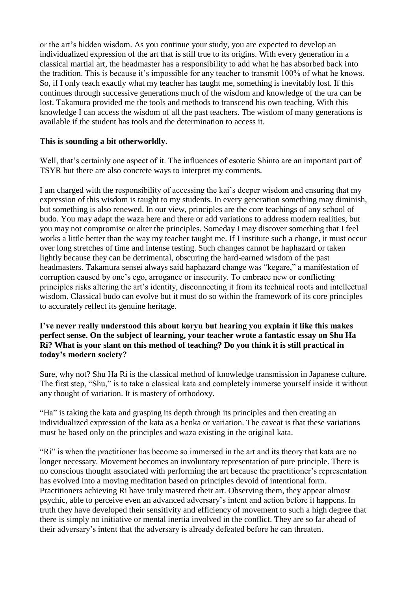or the art's hidden wisdom. As you continue your study, you are expected to develop an individualized expression of the art that is still true to its origins. With every generation in a classical martial art, the headmaster has a responsibility to add what he has absorbed back into the tradition. This is because it's impossible for any teacher to transmit 100% of what he knows. So, if I only teach exactly what my teacher has taught me, something is inevitably lost. If this continues through successive generations much of the wisdom and knowledge of the ura can be lost. Takamura provided me the tools and methods to transcend his own teaching. With this knowledge I can access the wisdom of all the past teachers. The wisdom of many generations is available if the student has tools and the determination to access it.

### **This is sounding a bit otherworldly.**

Well, that's certainly one aspect of it. The influences of esoteric Shinto are an important part of TSYR but there are also concrete ways to interpret my comments.

I am charged with the responsibility of accessing the kai's deeper wisdom and ensuring that my expression of this wisdom is taught to my students. In every generation something may diminish, but something is also renewed. In our view, principles are the core teachings of any school of budo. You may adapt the waza here and there or add variations to address modern realities, but you may not compromise or alter the principles. Someday I may discover something that I feel works a little better than the way my teacher taught me. If I institute such a change, it must occur over long stretches of time and intense testing. Such changes cannot be haphazard or taken lightly because they can be detrimental, obscuring the hard-earned wisdom of the past headmasters. Takamura sensei always said haphazard change was "kegare," a manifestation of corruption caused by one's ego, arrogance or insecurity. To embrace new or conflicting principles risks altering the art's identity, disconnecting it from its technical roots and intellectual wisdom. Classical budo can evolve but it must do so within the framework of its core principles to accurately reflect its genuine heritage.

#### **I've never really understood this about koryu but hearing you explain it like this makes perfect sense. On the subject of learning, your teacher wrote a fantastic essay on Shu Ha Ri? What is your slant on this method of teaching? Do you think it is still practical in today's modern society?**

Sure, why not? Shu Ha Ri is the classical method of knowledge transmission in Japanese culture. The first step, "Shu," is to take a classical kata and completely immerse yourself inside it without any thought of variation. It is mastery of orthodoxy.

"Ha" is taking the kata and grasping its depth through its principles and then creating an individualized expression of the kata as a henka or variation. The caveat is that these variations must be based only on the principles and waza existing in the original kata.

"Ri" is when the practitioner has become so immersed in the art and its theory that kata are no longer necessary. Movement becomes an involuntary representation of pure principle. There is no conscious thought associated with performing the art because the practitioner's representation has evolved into a moving meditation based on principles devoid of intentional form. Practitioners achieving Ri have truly mastered their art. Observing them, they appear almost psychic, able to perceive even an advanced adversary's intent and action before it happens. In truth they have developed their sensitivity and efficiency of movement to such a high degree that there is simply no initiative or mental inertia involved in the conflict. They are so far ahead of their adversary's intent that the adversary is already defeated before he can threaten.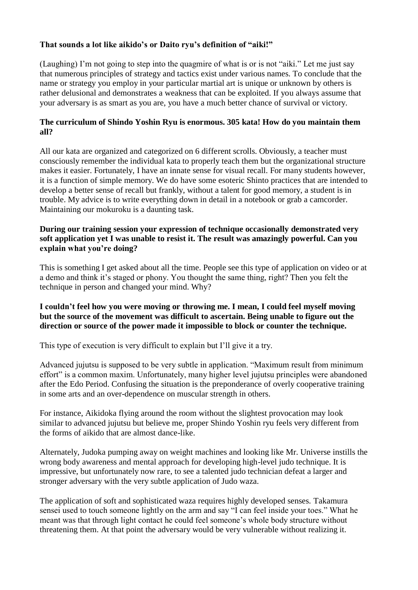# **That sounds a lot like aikido's or Daito ryu's definition of "aiki!"**

(Laughing) I'm not going to step into the quagmire of what is or is not "aiki." Let me just say that numerous principles of strategy and tactics exist under various names. To conclude that the name or strategy you employ in your particular martial art is unique or unknown by others is rather delusional and demonstrates a weakness that can be exploited. If you always assume that your adversary is as smart as you are, you have a much better chance of survival or victory.

### **The curriculum of Shindo Yoshin Ryu is enormous. 305 kata! How do you maintain them all?**

All our kata are organized and categorized on 6 different scrolls. Obviously, a teacher must consciously remember the individual kata to properly teach them but the organizational structure makes it easier. Fortunately, I have an innate sense for visual recall. For many students however, it is a function of simple memory. We do have some esoteric Shinto practices that are intended to develop a better sense of recall but frankly, without a talent for good memory, a student is in trouble. My advice is to write everything down in detail in a notebook or grab a camcorder. Maintaining our mokuroku is a daunting task.

### **During our training session your expression of technique occasionally demonstrated very soft application yet I was unable to resist it. The result was amazingly powerful. Can you explain what you're doing?**

This is something I get asked about all the time. People see this type of application on video or at a demo and think it's staged or phony. You thought the same thing, right? Then you felt the technique in person and changed your mind. Why?

#### **I couldn't feel how you were moving or throwing me. I mean, I could feel myself moving but the source of the movement was difficult to ascertain. Being unable to figure out the direction or source of the power made it impossible to block or counter the technique.**

This type of execution is very difficult to explain but I'll give it a try.

Advanced jujutsu is supposed to be very subtle in application. "Maximum result from minimum effort" is a common maxim. Unfortunately, many higher level jujutsu principles were abandoned after the Edo Period. Confusing the situation is the preponderance of overly cooperative training in some arts and an over-dependence on muscular strength in others.

For instance, Aikidoka flying around the room without the slightest provocation may look similar to advanced jujutsu but believe me, proper Shindo Yoshin ryu feels very different from the forms of aikido that are almost dance-like.

Alternately, Judoka pumping away on weight machines and looking like Mr. Universe instills the wrong body awareness and mental approach for developing high-level judo technique. It is impressive, but unfortunately now rare, to see a talented judo technician defeat a larger and stronger adversary with the very subtle application of Judo waza.

The application of soft and sophisticated waza requires highly developed senses. Takamura sensei used to touch someone lightly on the arm and say "I can feel inside your toes." What he meant was that through light contact he could feel someone's whole body structure without threatening them. At that point the adversary would be very vulnerable without realizing it.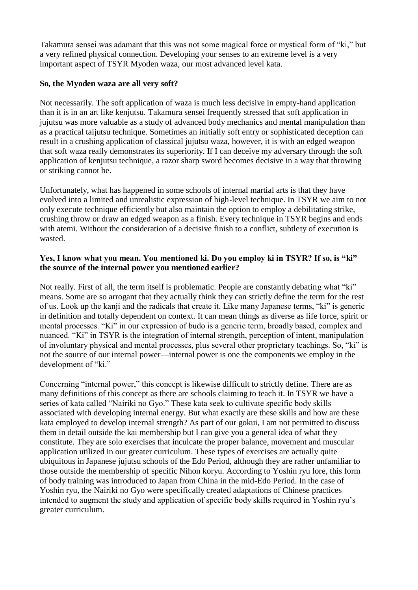Takamura sensei was adamant that this was not some magical force or mystical form of "ki," but a very refined physical connection. Developing your senses to an extreme level is a very important aspect of TSYR Myoden waza, our most advanced level kata.

#### **So, the Myoden waza are all very soft?**

Not necessarily. The soft application of waza is much less decisive in empty-hand application than it is in an art like kenjutsu. Takamura sensei frequently stressed that soft application in jujutsu was more valuable as a study of advanced body mechanics and mental manipulation than as a practical taijutsu technique. Sometimes an initially soft entry or sophisticated deception can result in a crushing application of classical jujutsu waza, however, it is with an edged weapon that soft waza really demonstrates its superiority. If I can deceive my adversary through the soft application of kenjutsu technique, a razor sharp sword becomes decisive in a way that throwing or striking cannot be.

Unfortunately, what has happened in some schools of internal martial arts is that they have evolved into a limited and unrealistic expression of high-level technique. In TSYR we aim to not only execute technique efficiently but also maintain the option to employ a debilitating strike, crushing throw or draw an edged weapon as a finish. Every technique in TSYR begins and ends with atemi. Without the consideration of a decisive finish to a conflict, subtlety of execution is wasted.

#### **Yes, I know what you mean. You mentioned ki. Do you employ ki in TSYR? If so, is "ki" the source of the internal power you mentioned earlier?**

Not really. First of all, the term itself is problematic. People are constantly debating what "ki" means. Some are so arrogant that they actually think they can strictly define the term for the rest of us. Look up the kanji and the radicals that create it. Like many Japanese terms, "ki" is generic in definition and totally dependent on context. It can mean things as diverse as life force, spirit or mental processes. "Ki" in our expression of budo is a generic term, broadly based, complex and nuanced. "Ki" in TSYR is the integration of internal strength, perception of intent, manipulation of involuntary physical and mental processes, plus several other proprietary teachings. So, "ki" is not the source of our internal power—internal power is one the components we employ in the development of "ki."

Concerning "internal power," this concept is likewise difficult to strictly define. There are as many definitions of this concept as there are schools claiming to teach it. In TSYR we have a series of kata called "Nairiki no Gyo." These kata seek to cultivate specific body skills associated with developing internal energy. But what exactly are these skills and how are these kata employed to develop internal strength? As part of our gokui, I am not permitted to discuss them in detail outside the kai membership but I can give you a general idea of what they constitute. They are solo exercises that inculcate the proper balance, movement and muscular application utilized in our greater curriculum. These types of exercises are actually quite ubiquitous in Japanese jujutsu schools of the Edo Period, although they are rather unfamiliar to those outside the membership of specific Nihon koryu. According to Yoshin ryu lore, this form of body training was introduced to Japan from China in the mid-Edo Period. In the case of Yoshin ryu, the Nairiki no Gyo were specifically created adaptations of Chinese practices intended to augment the study and application of specific body skills required in Yoshin ryu's greater curriculum.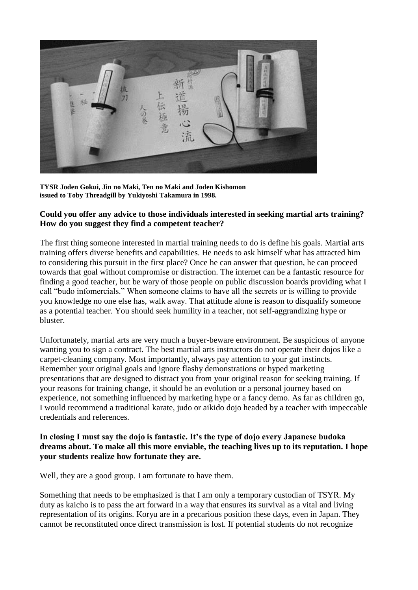

**TYSR Joden Gokui, Jin no Maki, Ten no Maki and Joden Kishomon issued to Toby Threadgill by Yukiyoshi Takamura in 1998.**

#### **Could you offer any advice to those individuals interested in seeking martial arts training? How do you suggest they find a competent teacher?**

The first thing someone interested in martial training needs to do is define his goals. Martial arts training offers diverse benefits and capabilities. He needs to ask himself what has attracted him to considering this pursuit in the first place? Once he can answer that question, he can proceed towards that goal without compromise or distraction. The internet can be a fantastic resource for finding a good teacher, but be wary of those people on public discussion boards providing what I call "budo infomercials." When someone claims to have all the secrets or is willing to provide you knowledge no one else has, walk away. That attitude alone is reason to disqualify someone as a potential teacher. You should seek humility in a teacher, not self-aggrandizing hype or bluster.

Unfortunately, martial arts are very much a buyer-beware environment. Be suspicious of anyone wanting you to sign a contract. The best martial arts instructors do not operate their dojos like a carpet-cleaning company. Most importantly, always pay attention to your gut instincts. Remember your original goals and ignore flashy demonstrations or hyped marketing presentations that are designed to distract you from your original reason for seeking training. If your reasons for training change, it should be an evolution or a personal journey based on experience, not something influenced by marketing hype or a fancy demo. As far as children go, I would recommend a traditional karate, judo or aikido dojo headed by a teacher with impeccable credentials and references.

#### **In closing I must say the dojo is fantastic. It's the type of dojo every Japanese budoka dreams about. To make all this more enviable, the teaching lives up to its reputation. I hope your students realize how fortunate they are.**

Well, they are a good group. I am fortunate to have them.

Something that needs to be emphasized is that I am only a temporary custodian of TSYR. My duty as kaicho is to pass the art forward in a way that ensures its survival as a vital and living representation of its origins. Koryu are in a precarious position these days, even in Japan. They cannot be reconstituted once direct transmission is lost. If potential students do not recognize